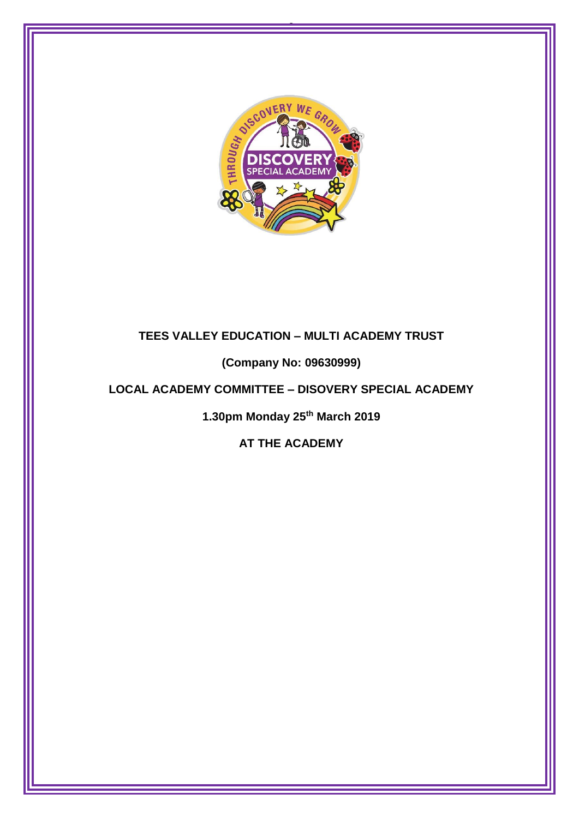

0

# **TEES VALLEY EDUCATION – MULTI ACADEMY TRUST**

**(Company No: 09630999)**

## **LOCAL ACADEMY COMMITTEE – DISOVERY SPECIAL ACADEMY**

**1.30pm Monday 25th March 2019**

**AT THE ACADEMY**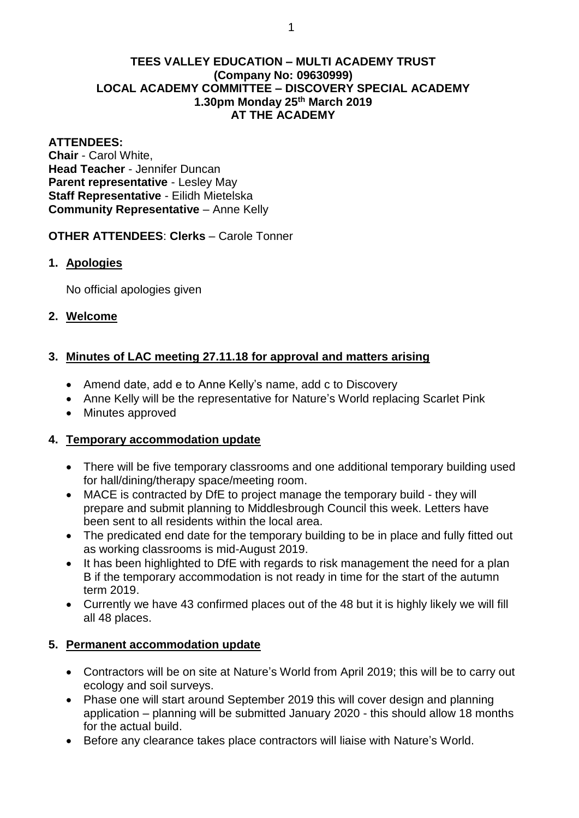#### **TEES VALLEY EDUCATION – MULTI ACADEMY TRUST (Company No: 09630999) LOCAL ACADEMY COMMITTEE – DISCOVERY SPECIAL ACADEMY 1.30pm Monday 25th March 2019 AT THE ACADEMY**

#### **ATTENDEES:**

**Chair** - Carol White, **Head Teacher** - Jennifer Duncan **Parent representative** - Lesley May **Staff Representative** - Eilidh Mietelska **Community Representative** – Anne Kelly

### **OTHER ATTENDEES**: **Clerks** – Carole Tonner

### **1. Apologies**

No official apologies given

### **2. Welcome**

## **3. Minutes of LAC meeting 27.11.18 for approval and matters arising**

- Amend date, add e to Anne Kelly's name, add c to Discovery
- Anne Kelly will be the representative for Nature's World replacing Scarlet Pink
- Minutes approved

## **4. Temporary accommodation update**

- There will be five temporary classrooms and one additional temporary building used for hall/dining/therapy space/meeting room.
- MACE is contracted by DfE to project manage the temporary build they will prepare and submit planning to Middlesbrough Council this week. Letters have been sent to all residents within the local area.
- The predicated end date for the temporary building to be in place and fully fitted out as working classrooms is mid-August 2019.
- It has been highlighted to DfE with regards to risk management the need for a plan B if the temporary accommodation is not ready in time for the start of the autumn term 2019.
- Currently we have 43 confirmed places out of the 48 but it is highly likely we will fill all 48 places.

## **5. Permanent accommodation update**

- Contractors will be on site at Nature's World from April 2019; this will be to carry out ecology and soil surveys.
- Phase one will start around September 2019 this will cover design and planning application – planning will be submitted January 2020 - this should allow 18 months for the actual build.
- Before any clearance takes place contractors will liaise with Nature's World.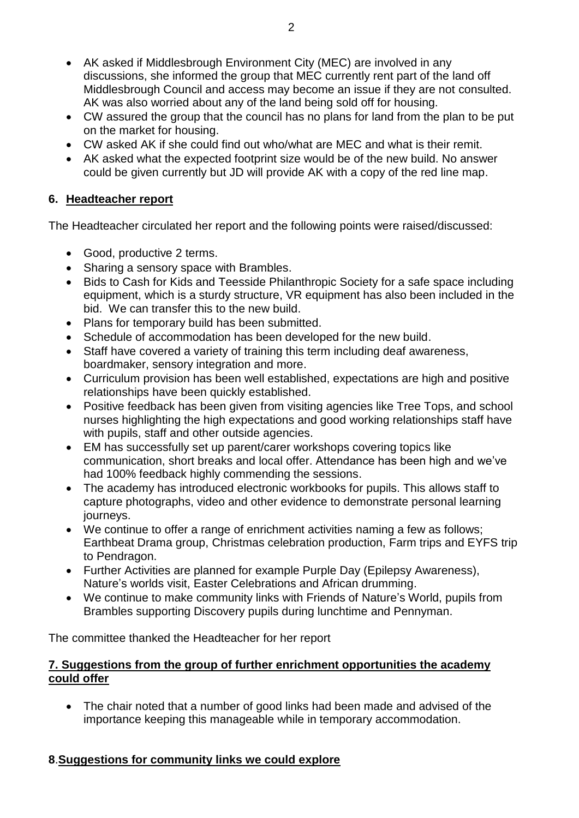- AK asked if Middlesbrough Environment City (MEC) are involved in any discussions, she informed the group that MEC currently rent part of the land off Middlesbrough Council and access may become an issue if they are not consulted. AK was also worried about any of the land being sold off for housing.
- CW assured the group that the council has no plans for land from the plan to be put on the market for housing.
- CW asked AK if she could find out who/what are MEC and what is their remit.
- AK asked what the expected footprint size would be of the new build. No answer could be given currently but JD will provide AK with a copy of the red line map.

### **6. Headteacher report**

The Headteacher circulated her report and the following points were raised/discussed:

- Good, productive 2 terms.
- Sharing a sensory space with Brambles.
- Bids to Cash for Kids and Teesside Philanthropic Society for a safe space including equipment, which is a sturdy structure, VR equipment has also been included in the bid. We can transfer this to the new build.
- Plans for temporary build has been submitted.
- Schedule of accommodation has been developed for the new build.
- Staff have covered a variety of training this term including deaf awareness, boardmaker, sensory integration and more.
- Curriculum provision has been well established, expectations are high and positive relationships have been quickly established.
- Positive feedback has been given from visiting agencies like Tree Tops, and school nurses highlighting the high expectations and good working relationships staff have with pupils, staff and other outside agencies.
- EM has successfully set up parent/carer workshops covering topics like communication, short breaks and local offer. Attendance has been high and we've had 100% feedback highly commending the sessions.
- The academy has introduced electronic workbooks for pupils. This allows staff to capture photographs, video and other evidence to demonstrate personal learning journeys.
- We continue to offer a range of enrichment activities naming a few as follows; Earthbeat Drama group, Christmas celebration production, Farm trips and EYFS trip to Pendragon.
- Further Activities are planned for example Purple Day (Epilepsy Awareness), Nature's worlds visit, Easter Celebrations and African drumming.
- We continue to make community links with Friends of Nature's World, pupils from Brambles supporting Discovery pupils during lunchtime and Pennyman.

The committee thanked the Headteacher for her report

### **7. Suggestions from the group of further enrichment opportunities the academy could offer**

 The chair noted that a number of good links had been made and advised of the importance keeping this manageable while in temporary accommodation.

## **8**.**Suggestions for community links we could explore**